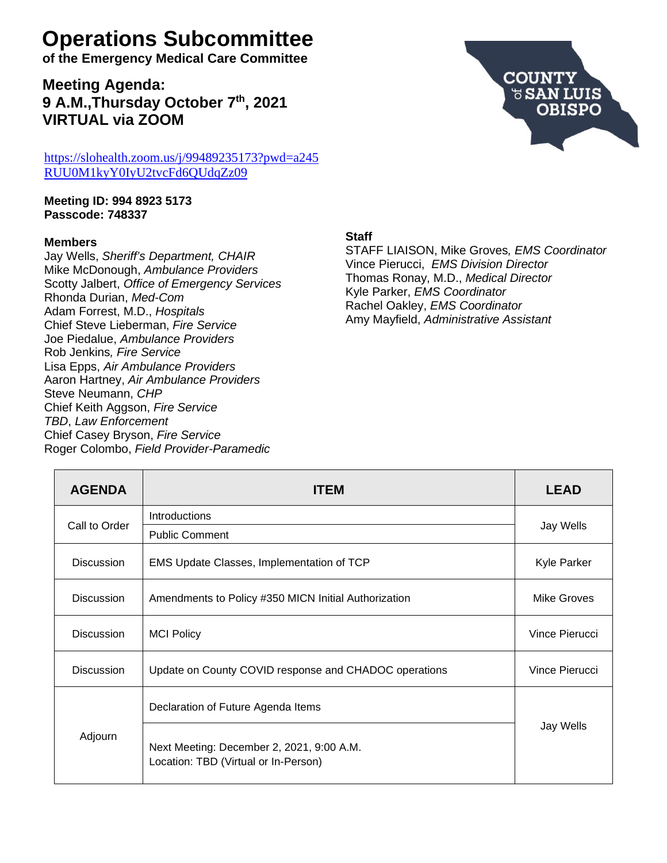# **Operations Subcommittee**

**of the Emergency Medical Care Committee**

**Meeting Agenda: 9 A.M.,Thursday October 7th, 2021 VIRTUAL via ZOOM**

[https://slohealth.zoom.us/j/99489235173?pwd=a245](https://slohealth.zoom.us/j/99489235173?pwd=a245RUU0M1kyY0IyU2tvcFd6QUdqZz09) [RUU0M1kyY0IyU2tvcFd6QUdqZz09](https://slohealth.zoom.us/j/99489235173?pwd=a245RUU0M1kyY0IyU2tvcFd6QUdqZz09)

**Meeting ID: 994 8923 5173 Passcode: 748337**

### **Members**

Jay Wells, *Sheriff's Department, CHAIR* Mike McDonough, *Ambulance Providers* Scotty Jalbert, *Office of Emergency Services* Rhonda Durian, *Med-Com* Adam Forrest, M.D., *Hospitals* Chief Steve Lieberman, *Fire Service* Joe Piedalue, *Ambulance Providers* Rob Jenkins*, Fire Service* Lisa Epps, *Air Ambulance Providers* Aaron Hartney, *Air Ambulance Providers* Steve Neumann, *CHP* Chief Keith Aggson, *Fire Service TBD*, *Law Enforcement* Chief Casey Bryson, *Fire Service* Roger Colombo, *Field Provider-Paramedic*



### **Staff**

STAFF LIAISON, Mike Groves*, EMS Coordinator* Vince Pierucci, *EMS Division Director* Thomas Ronay, M.D., *Medical Director* Kyle Parker, *EMS Coordinator* Rachel Oakley, *EMS Coordinator* Amy Mayfield, *Administrative Assistant*

| <b>AGENDA</b>     | <b>ITEM</b>                                                                       | LEAD               |
|-------------------|-----------------------------------------------------------------------------------|--------------------|
|                   | <b>Introductions</b>                                                              |                    |
| Call to Order     | <b>Public Comment</b>                                                             | Jay Wells          |
| <b>Discussion</b> | EMS Update Classes, Implementation of TCP                                         | <b>Kyle Parker</b> |
| <b>Discussion</b> | Amendments to Policy #350 MICN Initial Authorization                              | Mike Groves        |
| <b>Discussion</b> | <b>MCI Policy</b>                                                                 | Vince Pierucci     |
| <b>Discussion</b> | Update on County COVID response and CHADOC operations                             | Vince Pierucci     |
|                   | Declaration of Future Agenda Items                                                |                    |
| Adjourn           | Next Meeting: December 2, 2021, 9:00 A.M.<br>Location: TBD (Virtual or In-Person) | Jay Wells          |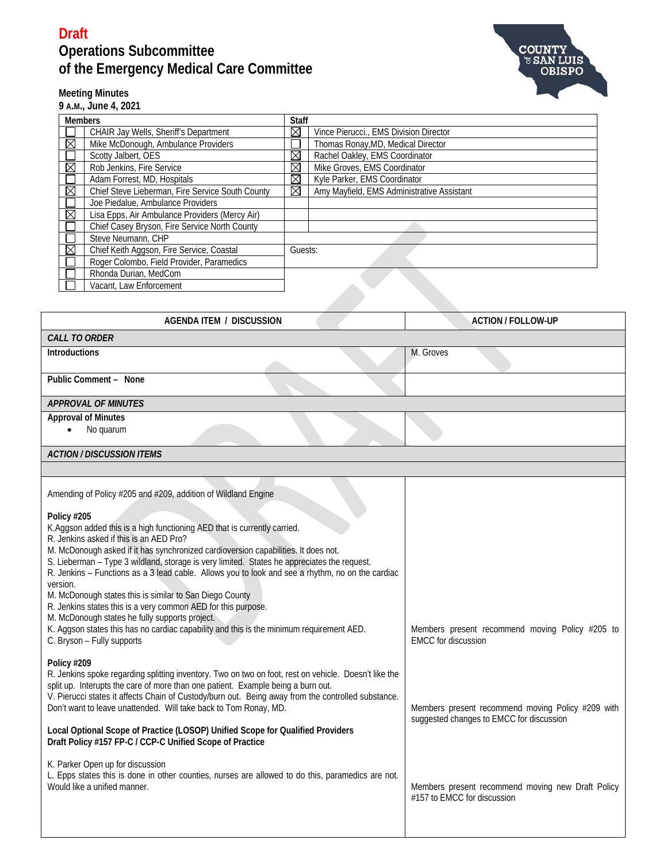

### **Meeting Minutes**

**9 A.M., June 4, 2021**

| <b>Members</b>          |                                                  | <b>Staff</b> |                                            |  |
|-------------------------|--------------------------------------------------|--------------|--------------------------------------------|--|
|                         | CHAIR Jay Wells, Sheriff's Department            | ⊠            | Vince Pierucci., EMS Division Director     |  |
| ⊠                       | Mike McDonough, Ambulance Providers              |              | Thomas Ronay, MD, Medical Director         |  |
|                         | Scotty Jalbert, OES                              | $\boxtimes$  | Rachel Oakley, EMS Coordinator             |  |
| ⊠                       | Rob Jenkins, Fire Service                        | ⊠            | Mike Groves, EMS Coordinator               |  |
|                         | Adam Forrest, MD, Hospitals                      | ⊠            | Kyle Parker, EMS Coordinator               |  |
| ⊠                       | Chief Steve Lieberman, Fire Service South County | ⊠            | Amy Mayfield, EMS Administrative Assistant |  |
|                         | Joe Piedalue, Ambulance Providers                |              |                                            |  |
| ⊠                       | Lisa Epps, Air Ambulance Providers (Mercy Air)   |              |                                            |  |
|                         | Chief Casey Bryson, Fire Service North County    |              |                                            |  |
|                         | Steve Neumann, CHP                               |              |                                            |  |
| ⊠                       | Chief Keith Aggson, Fire Service, Coastal        |              | Guests:                                    |  |
|                         | Roger Colombo, Field Provider, Paramedics        |              |                                            |  |
|                         | Rhonda Durian, MedCom                            |              |                                            |  |
| Vacant, Law Enforcement |                                                  |              |                                            |  |

| <b>AGENDA ITEM / DISCUSSION</b>                                                                                                                                                                                                                                                                                                                                                                                                                                                                                                                                                                                                                                                                                                                                                                                  | <b>ACTION / FOLLOW-UP</b>                                                                     |
|------------------------------------------------------------------------------------------------------------------------------------------------------------------------------------------------------------------------------------------------------------------------------------------------------------------------------------------------------------------------------------------------------------------------------------------------------------------------------------------------------------------------------------------------------------------------------------------------------------------------------------------------------------------------------------------------------------------------------------------------------------------------------------------------------------------|-----------------------------------------------------------------------------------------------|
| <b>CALL TO ORDER</b>                                                                                                                                                                                                                                                                                                                                                                                                                                                                                                                                                                                                                                                                                                                                                                                             |                                                                                               |
| <b>Introductions</b>                                                                                                                                                                                                                                                                                                                                                                                                                                                                                                                                                                                                                                                                                                                                                                                             | M. Groves                                                                                     |
| Public Comment - None                                                                                                                                                                                                                                                                                                                                                                                                                                                                                                                                                                                                                                                                                                                                                                                            |                                                                                               |
| <b>APPROVAL OF MINUTES</b>                                                                                                                                                                                                                                                                                                                                                                                                                                                                                                                                                                                                                                                                                                                                                                                       |                                                                                               |
| <b>Approval of Minutes</b><br>No quarum                                                                                                                                                                                                                                                                                                                                                                                                                                                                                                                                                                                                                                                                                                                                                                          |                                                                                               |
| <b>ACTION / DISCUSSION ITEMS</b>                                                                                                                                                                                                                                                                                                                                                                                                                                                                                                                                                                                                                                                                                                                                                                                 |                                                                                               |
|                                                                                                                                                                                                                                                                                                                                                                                                                                                                                                                                                                                                                                                                                                                                                                                                                  |                                                                                               |
| Amending of Policy #205 and #209, addition of Wildland Engine<br>Policy #205<br>K.Aggson added this is a high functioning AED that is currently carried.<br>R. Jenkins asked if this is an AED Pro?<br>M. McDonough asked if it has synchronized cardioversion capabilities. It does not.<br>S. Lieberman - Type 3 wildland, storage is very limited. States he appreciates the request.<br>R. Jenkins - Functions as a 3 lead cable. Allows you to look and see a rhythm, no on the cardiac<br>version.<br>M. McDonough states this is similar to San Diego County<br>R. Jenkins states this is a very common AED for this purpose.<br>M. McDonough states he fully supports project.<br>K. Aggson states this has no cardiac capability and this is the minimum requirement AED.<br>C. Bryson - Fully supports | Members present recommend moving Policy #205 to<br><b>EMCC</b> for discussion                 |
| Policy #209<br>R. Jenkins spoke regarding splitting inventory. Two on two on foot, rest on vehicle. Doesn't like the<br>split up. Interupts the care of more than one patient. Example being a burn out.<br>V. Pierucci states it affects Chain of Custody/burn out. Being away from the controlled substance.<br>Don't want to leave unattended. Will take back to Tom Ronay, MD.<br>Local Optional Scope of Practice (LOSOP) Unified Scope for Qualified Providers<br>Draft Policy #157 FP-C / CCP-C Unified Scope of Practice                                                                                                                                                                                                                                                                                 | Members present recommend moving Policy #209 with<br>suggested changes to EMCC for discussion |
| K. Parker Open up for discussion<br>L. Epps states this is done in other counties, nurses are allowed to do this, paramedics are not.<br>Would like a unified manner.                                                                                                                                                                                                                                                                                                                                                                                                                                                                                                                                                                                                                                            | Members present recommend moving new Draft Policy<br>#157 to EMCC for discussion              |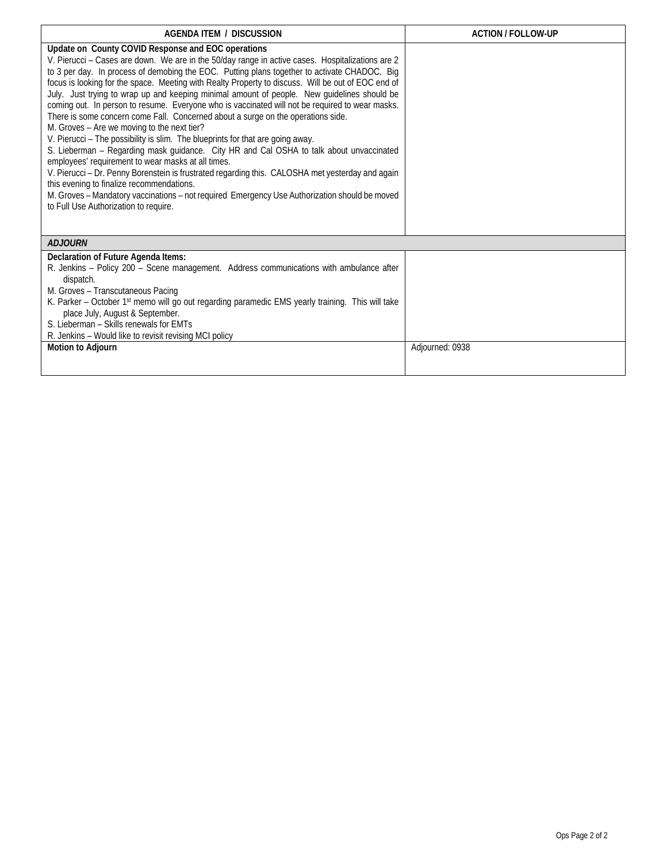| <b>AGENDA ITEM / DISCUSSION</b>                                                                                                                                                                                                                                                                                                                                                                                                                                                                                                                                                                                                                                                                                                                                                                                                                                                                                                                                                                                                                                                                                                                                                                                                 | <b>ACTION / FOLLOW-UP</b> |  |  |  |
|---------------------------------------------------------------------------------------------------------------------------------------------------------------------------------------------------------------------------------------------------------------------------------------------------------------------------------------------------------------------------------------------------------------------------------------------------------------------------------------------------------------------------------------------------------------------------------------------------------------------------------------------------------------------------------------------------------------------------------------------------------------------------------------------------------------------------------------------------------------------------------------------------------------------------------------------------------------------------------------------------------------------------------------------------------------------------------------------------------------------------------------------------------------------------------------------------------------------------------|---------------------------|--|--|--|
| Update on County COVID Response and EOC operations<br>V. Pierucci - Cases are down. We are in the 50/day range in active cases. Hospitalizations are 2<br>to 3 per day. In process of demobing the EOC. Putting plans together to activate CHADOC. Big<br>focus is looking for the space. Meeting with Realty Property to discuss. Will be out of EOC end of<br>July. Just trying to wrap up and keeping minimal amount of people. New guidelines should be<br>coming out. In person to resume. Everyone who is vaccinated will not be required to wear masks.<br>There is some concern come Fall. Concerned about a surge on the operations side.<br>M. Groves - Are we moving to the next tier?<br>V. Pierucci - The possibility is slim. The blueprints for that are going away.<br>S. Lieberman - Regarding mask guidance. City HR and Cal OSHA to talk about unvaccinated<br>employees' requirement to wear masks at all times.<br>V. Pierucci - Dr. Penny Borenstein is frustrated regarding this. CALOSHA met yesterday and again<br>this evening to finalize recommendations.<br>M. Groves - Mandatory vaccinations - not required Emergency Use Authorization should be moved<br>to Full Use Authorization to require. |                           |  |  |  |
| <b>ADJOURN</b>                                                                                                                                                                                                                                                                                                                                                                                                                                                                                                                                                                                                                                                                                                                                                                                                                                                                                                                                                                                                                                                                                                                                                                                                                  |                           |  |  |  |
| Declaration of Future Agenda Items:<br>R. Jenkins - Policy 200 - Scene management. Address communications with ambulance after<br>dispatch.<br>M. Groves - Transcutaneous Pacing<br>K. Parker - October 1st memo will go out regarding paramedic EMS yearly training. This will take<br>place July, August & September.<br>S. Lieberman - Skills renewals for EMTs<br>R. Jenkins - Would like to revisit revising MCI policy                                                                                                                                                                                                                                                                                                                                                                                                                                                                                                                                                                                                                                                                                                                                                                                                    |                           |  |  |  |
| <b>Motion to Adjourn</b>                                                                                                                                                                                                                                                                                                                                                                                                                                                                                                                                                                                                                                                                                                                                                                                                                                                                                                                                                                                                                                                                                                                                                                                                        | Adjourned: 0938           |  |  |  |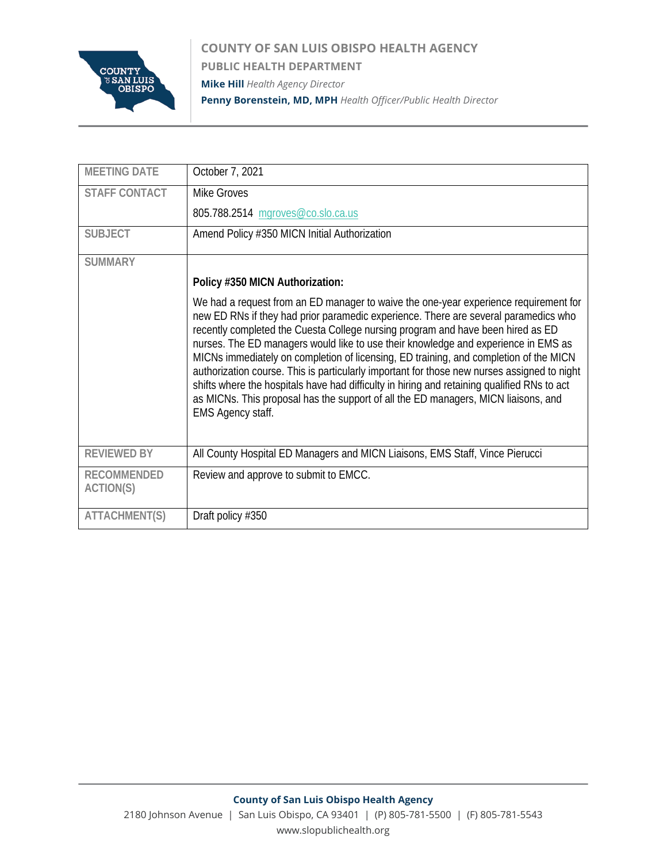

**COUNTY OF SAN LUIS OBISPO HEALTH AGENCY PUBLIC HEALTH DEPARTMENT Mike Hill** *Health Agency Director* **Penny Borenstein, MD, MPH** *Health Officer/Public Health Director*

| <b>MEETING DATE</b>             | October 7, 2021                                                                                                                                                                                                                                                                                                                                                                                                                                                                                                                                                                                                                                                                                                                                               |
|---------------------------------|---------------------------------------------------------------------------------------------------------------------------------------------------------------------------------------------------------------------------------------------------------------------------------------------------------------------------------------------------------------------------------------------------------------------------------------------------------------------------------------------------------------------------------------------------------------------------------------------------------------------------------------------------------------------------------------------------------------------------------------------------------------|
| <b>STAFF CONTACT</b>            | <b>Mike Groves</b>                                                                                                                                                                                                                                                                                                                                                                                                                                                                                                                                                                                                                                                                                                                                            |
|                                 | 805.788.2514 mgroves@co.slo.ca.us                                                                                                                                                                                                                                                                                                                                                                                                                                                                                                                                                                                                                                                                                                                             |
| <b>SUBJECT</b>                  | Amend Policy #350 MICN Initial Authorization                                                                                                                                                                                                                                                                                                                                                                                                                                                                                                                                                                                                                                                                                                                  |
| <b>SUMMARY</b>                  |                                                                                                                                                                                                                                                                                                                                                                                                                                                                                                                                                                                                                                                                                                                                                               |
|                                 | Policy #350 MICN Authorization:                                                                                                                                                                                                                                                                                                                                                                                                                                                                                                                                                                                                                                                                                                                               |
|                                 | We had a request from an ED manager to waive the one-year experience requirement for<br>new ED RNs if they had prior paramedic experience. There are several paramedics who<br>recently completed the Cuesta College nursing program and have been hired as ED<br>nurses. The ED managers would like to use their knowledge and experience in EMS as<br>MICNs immediately on completion of licensing, ED training, and completion of the MICN<br>authorization course. This is particularly important for those new nurses assigned to night<br>shifts where the hospitals have had difficulty in hiring and retaining qualified RNs to act<br>as MICNs. This proposal has the support of all the ED managers, MICN liaisons, and<br><b>EMS Agency staff.</b> |
| <b>REVIEWED BY</b>              | All County Hospital ED Managers and MICN Liaisons, EMS Staff, Vince Pierucci                                                                                                                                                                                                                                                                                                                                                                                                                                                                                                                                                                                                                                                                                  |
| <b>RECOMMENDED</b><br>ACTION(S) | Review and approve to submit to EMCC.                                                                                                                                                                                                                                                                                                                                                                                                                                                                                                                                                                                                                                                                                                                         |
| ATTACHMENT(S)                   | Draft policy #350                                                                                                                                                                                                                                                                                                                                                                                                                                                                                                                                                                                                                                                                                                                                             |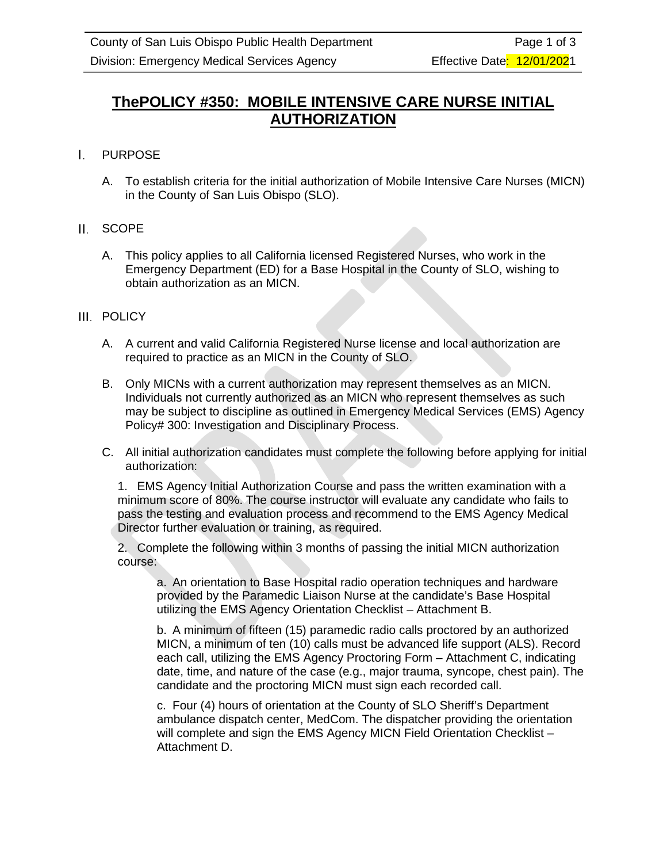## **ThePOLICY #350: MOBILE INTENSIVE CARE NURSE INITIAL AUTHORIZATION**

#### L. PURPOSE

A. To establish criteria for the initial authorization of Mobile Intensive Care Nurses (MICN) in the County of San Luis Obispo (SLO).

### II. SCOPE

A. This policy applies to all California licensed Registered Nurses, who work in the Emergency Department (ED) for a Base Hospital in the County of SLO, wishing to obtain authorization as an MICN.

### III. POLICY

- A. A current and valid California Registered Nurse license and local authorization are required to practice as an MICN in the County of SLO.
- B. Only MICNs with a current authorization may represent themselves as an MICN. Individuals not currently authorized as an MICN who represent themselves as such may be subject to discipline as outlined in Emergency Medical Services (EMS) Agency Policy# 300: Investigation and Disciplinary Process.
- C. All initial authorization candidates must complete the following before applying for initial authorization:

1. EMS Agency Initial Authorization Course and pass the written examination with a minimum score of 80%. The course instructor will evaluate any candidate who fails to pass the testing and evaluation process and recommend to the EMS Agency Medical Director further evaluation or training, as required.

2. Complete the following within 3 months of passing the initial MICN authorization course:

a. An orientation to Base Hospital radio operation techniques and hardware provided by the Paramedic Liaison Nurse at the candidate's Base Hospital utilizing the EMS Agency Orientation Checklist – Attachment B.

b. A minimum of fifteen (15) paramedic radio calls proctored by an authorized MICN, a minimum of ten (10) calls must be advanced life support (ALS). Record each call, utilizing the EMS Agency Proctoring Form – Attachment C, indicating date, time, and nature of the case (e.g., major trauma, syncope, chest pain). The candidate and the proctoring MICN must sign each recorded call.

c. Four (4) hours of orientation at the County of SLO Sheriff's Department ambulance dispatch center, MedCom. The dispatcher providing the orientation will complete and sign the EMS Agency MICN Field Orientation Checklist -Attachment D.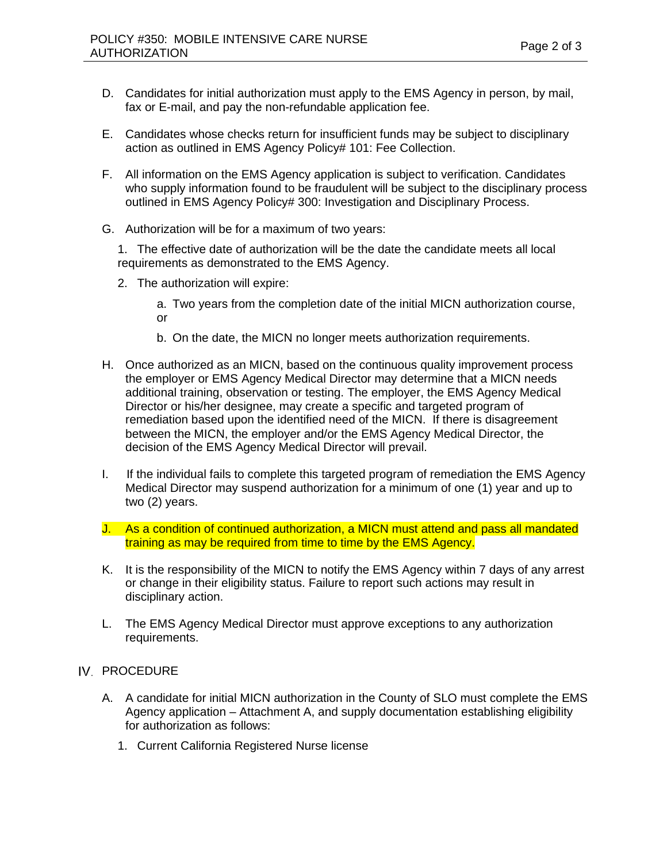- D. Candidates for initial authorization must apply to the EMS Agency in person, by mail, fax or E-mail, and pay the non-refundable application fee.
- E. Candidates whose checks return for insufficient funds may be subject to disciplinary action as outlined in EMS Agency Policy# 101: Fee Collection.
- F. All information on the EMS Agency application is subject to verification. Candidates who supply information found to be fraudulent will be subject to the disciplinary process outlined in EMS Agency Policy# 300: Investigation and Disciplinary Process.
- G. Authorization will be for a maximum of two years:
	- 1. The effective date of authorization will be the date the candidate meets all local requirements as demonstrated to the EMS Agency.
	- 2. The authorization will expire:

a. Two years from the completion date of the initial MICN authorization course, or

- b. On the date, the MICN no longer meets authorization requirements.
- H. Once authorized as an MICN, based on the continuous quality improvement process the employer or EMS Agency Medical Director may determine that a MICN needs additional training, observation or testing. The employer, the EMS Agency Medical Director or his/her designee, may create a specific and targeted program of remediation based upon the identified need of the MICN. If there is disagreement between the MICN, the employer and/or the EMS Agency Medical Director, the decision of the EMS Agency Medical Director will prevail.
- I. If the individual fails to complete this targeted program of remediation the EMS Agency Medical Director may suspend authorization for a minimum of one (1) year and up to two (2) years.
- J. As a condition of continued authorization, a MICN must attend and pass all mandated training as may be required from time to time by the EMS Agency.
- K. It is the responsibility of the MICN to notify the EMS Agency within 7 days of any arrest or change in their eligibility status. Failure to report such actions may result in disciplinary action.
- L. The EMS Agency Medical Director must approve exceptions to any authorization requirements.

### IV. PROCEDURE

- A. A candidate for initial MICN authorization in the County of SLO must complete the EMS Agency application – Attachment A, and supply documentation establishing eligibility for authorization as follows:
	- 1. Current California Registered Nurse license